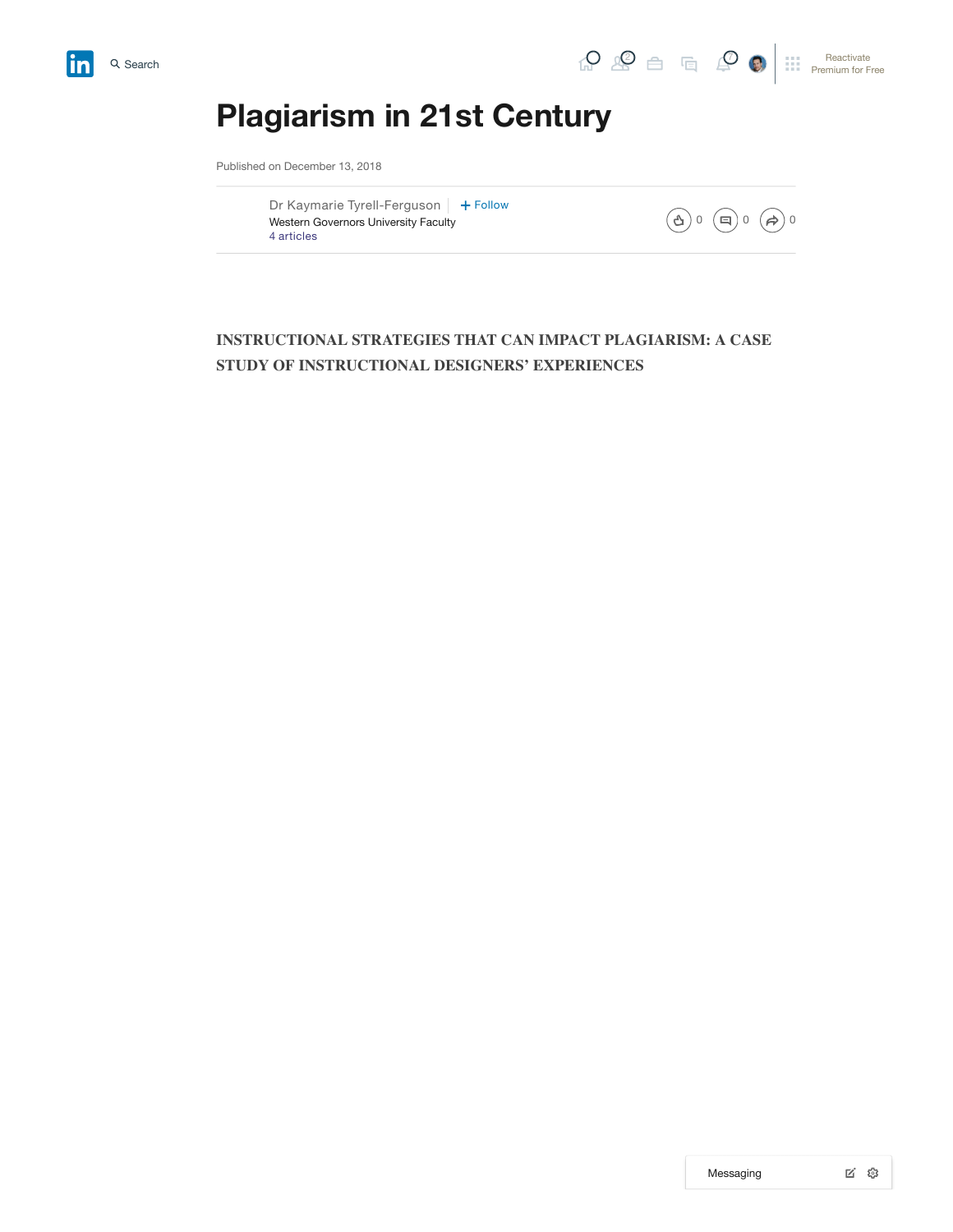





# **Plagiarism in 21st Century**

Published on December 13, 2018

Dr Kaymarie [Tyrell-Ferguson](https://www.linkedin.com/in/drferguson1/)  $\mathbf{F}$  + Follow Western Governors University Faculty 4 [articles](https://www.linkedin.com/in/drferguson1/detail/recent-activity/posts/)



# **INSTRUCTIONAL STRATEGIES THAT CAN IMPACT PLAGIARISM: A CASE STUDY OF INSTRUCTIONAL DESIGNERS' EXPERIENCES**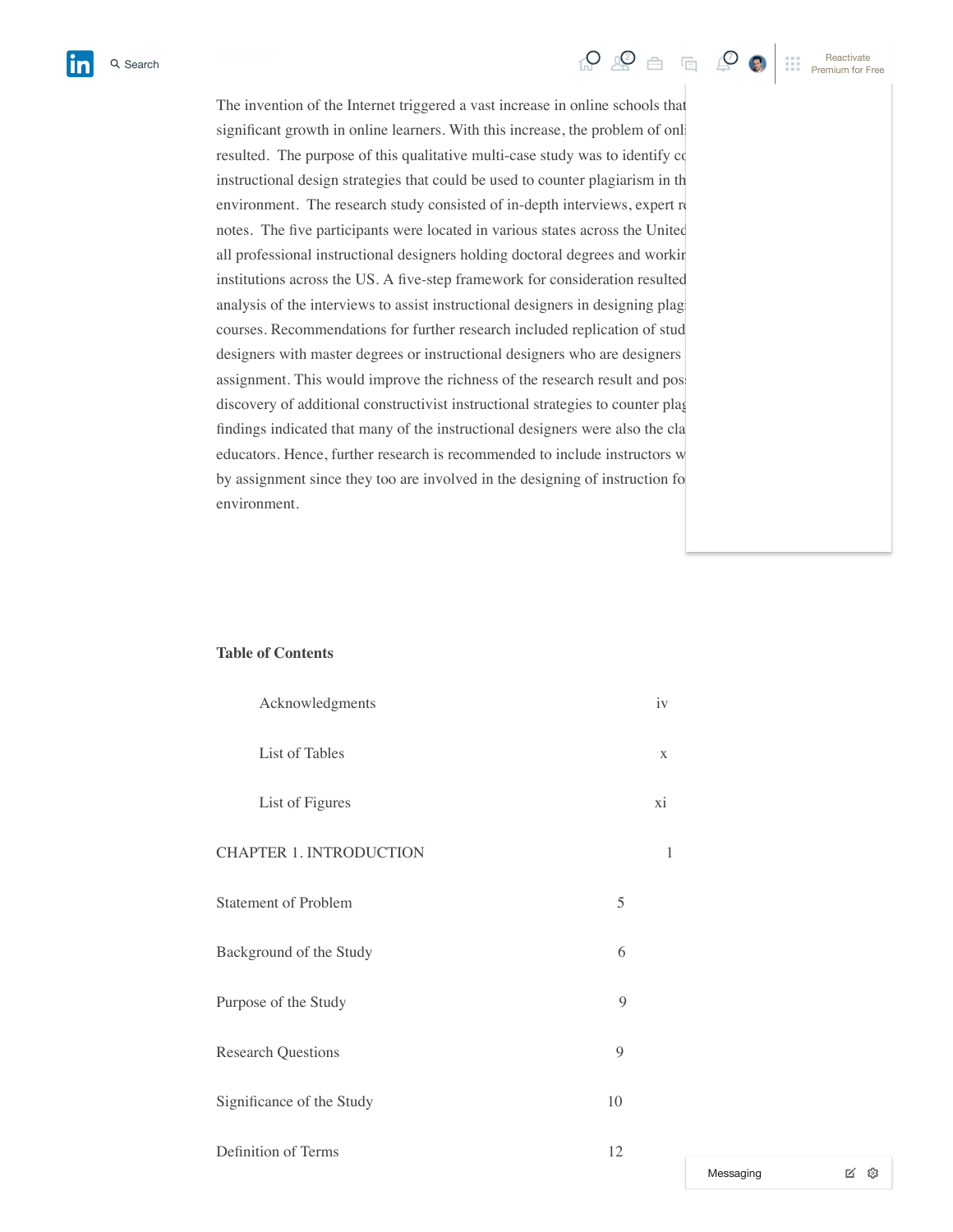in

# $\alpha$  search  $\alpha$   $\beta$   $\beta$   $\beta$   $\beta$   $\beta$   $\beta$   $\beta$

[Reactivate](https://www.linkedin.com/premium/products/?destRedirectURL=https%3A%2F%2Fwww.linkedin.com%2Fpulse%2Fplagiarism-21st-century-dr-kaymarie-tyrell-ferguson%2F%3Fpublished%3Dt%26showPremiumWelcomeBanner%3Dtrue&upsellOrderOrigin=premium_nav_upsell_text) Premium for Free

The invention of the Internet triggered a vast increase in online schools that significant growth in online learners. With this increase, the problem of onli resulted. The purpose of this qualitative multi-case study was to identify constructivity instructional design strategies that could be used to counter plagiarism in th environment. The research study consisted of in-depth interviews, expert re notes. The five participants were located in various states across the United all professional instructional designers holding doctoral degrees and workin institutions across the US. A five-step framework for consideration resulted analysis of the interviews to assist instructional designers in designing plagi courses. Recommendations for further research included replication of stud designers with master degrees or instructional designers who are designers assignment. This would improve the richness of the research result and post discovery of additional constructivist instructional strategies to counter plagi findings indicated that many of the instructional designers were also the cla educators. Hence, further research is recommended to include instructors w by assignment since they too are involved in the designing of instruction for environment.

#### **Table of Contents**

| Acknowledgments             |             | iv          |
|-----------------------------|-------------|-------------|
| List of Tables              |             | $\mathbf X$ |
| List of Figures             |             | xi          |
| CHAPTER 1. INTRODUCTION     |             | 1           |
| <b>Statement of Problem</b> | 5           |             |
| Background of the Study     | 6           |             |
| Purpose of the Study        | $\mathbf Q$ |             |
| <b>Research Questions</b>   | 9           |             |
| Significance of the Study   | 10          |             |
| Definition of Terms         | 12          |             |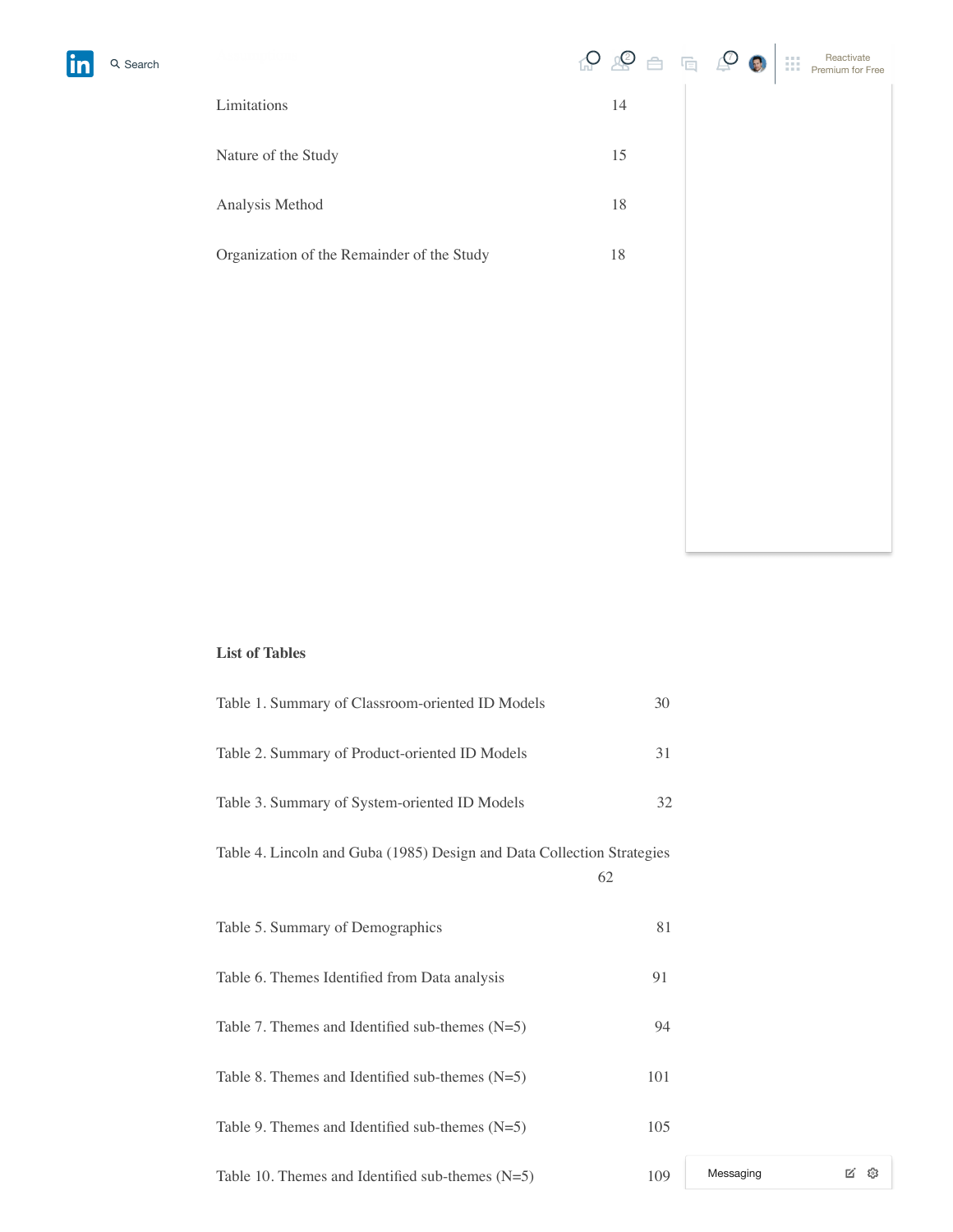

#### **List of Tables**

| Table 1. Summary of Classroom-oriented ID Models                       | 30  |           |
|------------------------------------------------------------------------|-----|-----------|
| Table 2. Summary of Product-oriented ID Models                         | 31  |           |
| Table 3. Summary of System-oriented ID Models                          | 32  |           |
| Table 4. Lincoln and Guba (1985) Design and Data Collection Strategies | 62  |           |
| Table 5. Summary of Demographics                                       | 81  |           |
| Table 6. Themes Identified from Data analysis                          | 91  |           |
| Table 7. Themes and Identified sub-themes $(N=5)$                      | 94  |           |
| Table 8. Themes and Identified sub-themes $(N=5)$                      | 101 |           |
| Table 9. Themes and Identified sub-themes $(N=5)$                      | 105 |           |
| Table 10. Themes and Identified sub-themes $(N=5)$                     | 109 | Messaging |

 $\boxtimes$   $\otimes$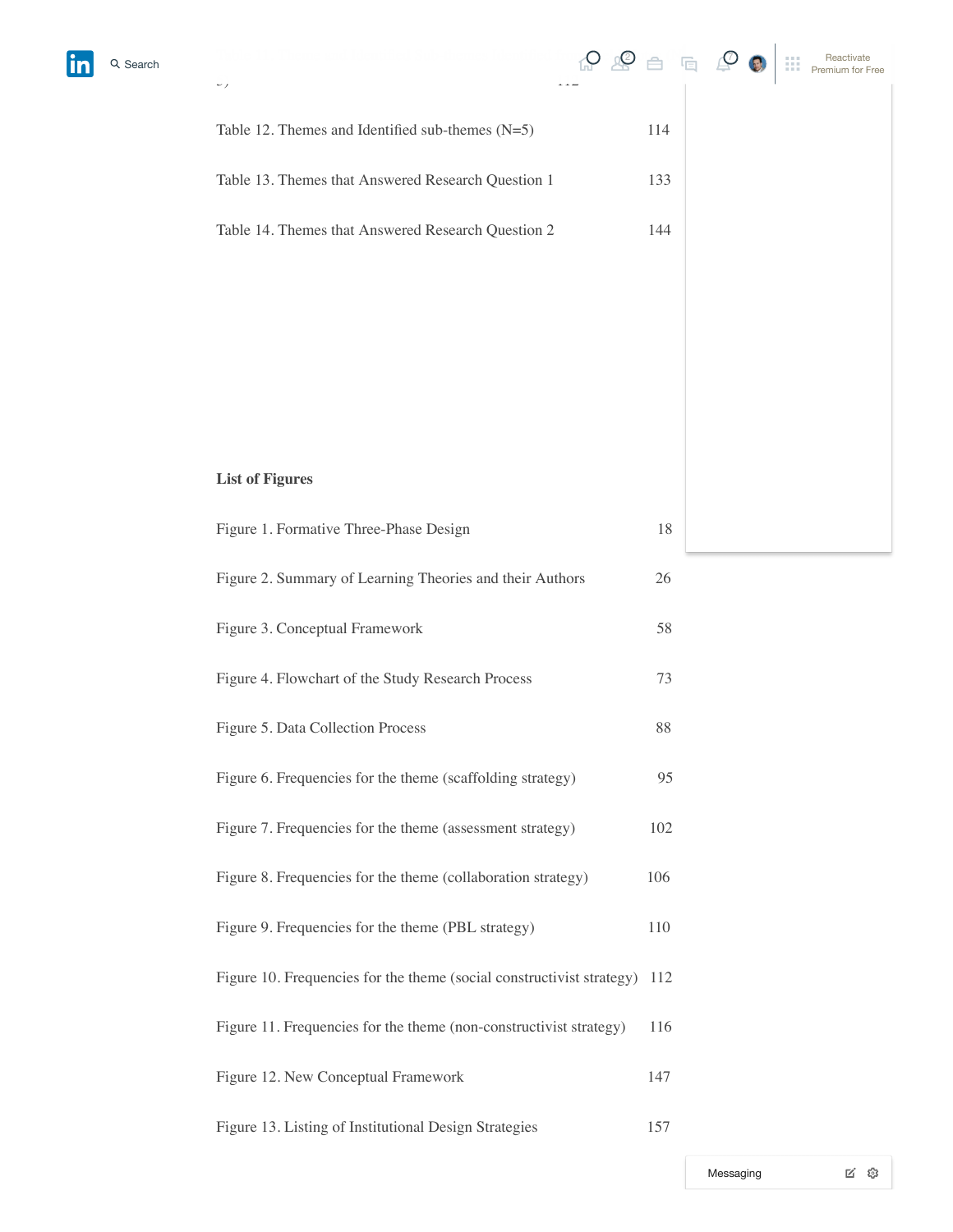lin

 $\mathcal{L}_{j}$ 

#### **List of Figures**

| Figure 1. Formative Three-Phase Design                                    | 18  |  |
|---------------------------------------------------------------------------|-----|--|
| Figure 2. Summary of Learning Theories and their Authors                  | 26  |  |
| Figure 3. Conceptual Framework                                            | 58  |  |
| Figure 4. Flowchart of the Study Research Process                         | 73  |  |
| Figure 5. Data Collection Process                                         | 88  |  |
| Figure 6. Frequencies for the theme (scaffolding strategy)                | 95  |  |
| Figure 7. Frequencies for the theme (assessment strategy)                 | 102 |  |
| Figure 8. Frequencies for the theme (collaboration strategy)              | 106 |  |
| Figure 9. Frequencies for the theme (PBL strategy)                        | 110 |  |
| Figure 10. Frequencies for the theme (social constructivist strategy) 112 |     |  |
| Figure 11. Frequencies for the theme (non-constructivist strategy)        | 116 |  |
| Figure 12. New Conceptual Framework                                       | 147 |  |
| Figure 13. Listing of Institutional Design Strategies                     | 157 |  |

Messaging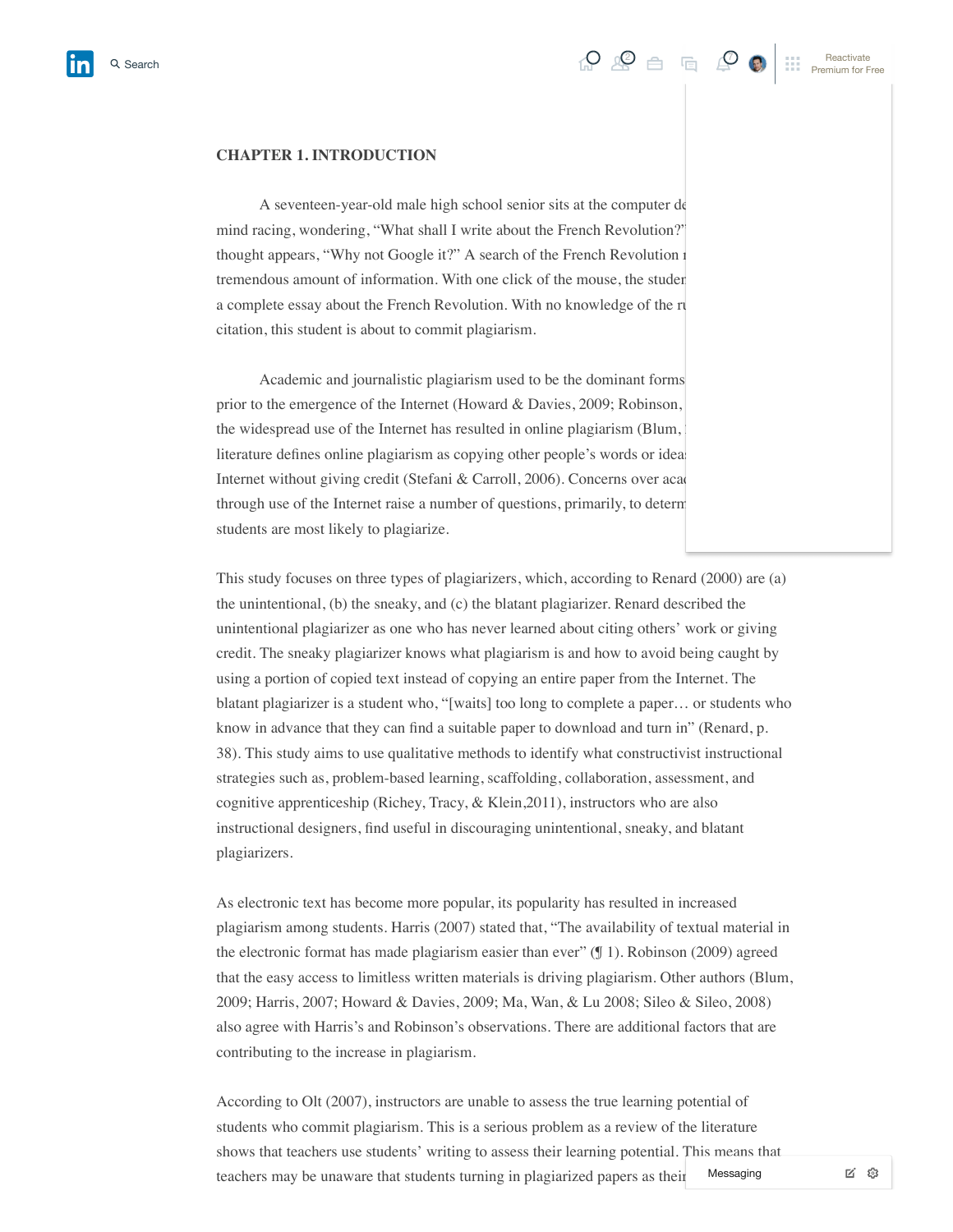#### **CHAPTER 1. INTRODUCTION**

A seventeen-year-old male high school senior sits at the computer des mind racing, wondering, "What shall I write about the French Revolution?" thought appears, "Why not Google it?" A search of the French Revolution r tremendous amount of information. With one click of the mouse, the student a complete essay about the French Revolution. With no knowledge of the rule citation, this student is about to commit plagiarism.

Academic and journalistic plagiarism used to be the dominant forms prior to the emergence of the Internet (Howard  $\&$  Davies, 2009; Robinson, the widespread use of the Internet has resulted in online plagiarism (Blum, literature defines online plagiarism as copying other people's words or ideal Internet without giving credit (Stefani & Carroll, 2006). Concerns over academic planet through use of the Internet raise a number of questions, primarily, to determ students are most likely to plagiarize.

This study focuses on three types of plagiarizers, which, according to Renard (2000) are (a) the unintentional, (b) the sneaky, and (c) the blatant plagiarizer. Renard described the unintentional plagiarizer as one who has never learned about citing others' work or giving credit. The sneaky plagiarizer knows what plagiarism is and how to avoid being caught by using a portion of copied text instead of copying an entire paper from the Internet. The blatant plagiarizer is a student who, "[waits] too long to complete a paper… or students who know in advance that they can find a suitable paper to download and turn in" (Renard, p. 38). This study aims to use qualitative methods to identify what constructivist instructional strategies such as, problem-based learning, scaffolding, collaboration, assessment, and cognitive apprenticeship (Richey, Tracy, & Klein,2011), instructors who are also instructional designers, find useful in discouraging unintentional, sneaky, and blatant plagiarizers.

As electronic text has become more popular, its popularity has resulted in increased plagiarism among students. Harris (2007) stated that, "The availability of textual material in the electronic format has made plagiarism easier than ever" (¶ 1). Robinson (2009) agreed that the easy access to limitless written materials is driving plagiarism. Other authors (Blum, 2009; Harris, 2007; Howard & Davies, 2009; Ma, Wan, & Lu 2008; Sileo & Sileo, 2008) also agree with Harris's and Robinson's observations. There are additional factors that are contributing to the increase in plagiarism.

According to Olt (2007), instructors are unable to assess the true learning potential of students who commit plagiarism. This is a serious problem as a review of the literature shows that teachers use students' writing to assess their learning potential. This means that teachers may be unaware that students turning in plagiarized papers as their Messaging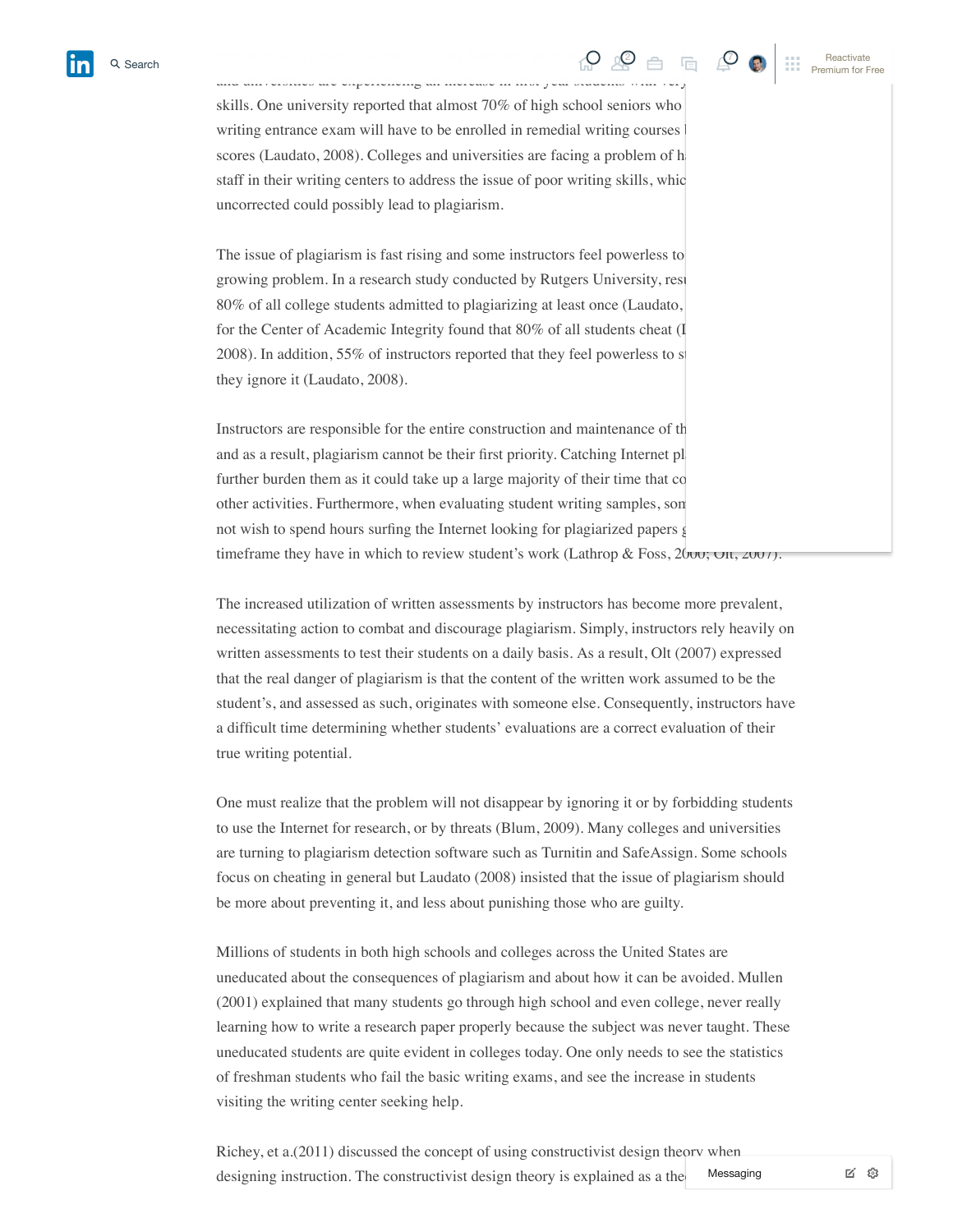skills. One university reported that almost  $70\%$  of high school seniors who writing entrance exam will have to be enrolled in remedial writing courses scores (Laudato, 2008). Colleges and universities are facing a problem of having to increase to increase to increase to increase to increase to increase to increase to increase to increase to increase to increase to increa staff in their writing centers to address the issue of poor writing skills, which uncorrected could possibly lead to plagiarism.

The issue of plagiarism is fast rising and some instructors feel powerless to growing problem. In a research study conducted by Rutgers University, results 80% of all college students admitted to plagiarizing at least once (Laudato, for the Center of Academic Integrity found that  $80\%$  of all students cheat (I  $2008$ ). In addition, 55% of instructors reported that they feel powerless to stop. they ignore it (Laudato, 2008).

Instructors are responsible for the entire construction and maintenance of the and as a result, plagiarism cannot be their first priority. Catching Internet pl further burden them as it could take up a large majority of their time that co other activities. Furthermore, when evaluating student writing samples, son not wish to spend hours surfing the Internet looking for plagiarized papers g timeframe they have in which to review student's work (Lathrop & Foss,  $2600$ ; Olt,  $2007$ ).

The increased utilization of written assessments by instructors has become more prevalent, necessitating action to combat and discourage plagiarism. Simply, instructors rely heavily on written assessments to test their students on a daily basis. As a result, Olt (2007) expressed that the real danger of plagiarism is that the content of the written work assumed to be the student's, and assessed as such, originates with someone else. Consequently, instructors have a difficult time determining whether students' evaluations are a correct evaluation of their true writing potential.

One must realize that the problem will not disappear by ignoring it or by forbidding students to use the Internet for research, or by threats (Blum, 2009). Many colleges and universities are turning to plagiarism detection software such as Turnitin and SafeAssign. Some schools focus on cheating in general but Laudato (2008) insisted that the issue of plagiarism should be more about preventing it, and less about punishing those who are guilty.

Millions of students in both high schools and colleges across the United States are uneducated about the consequences of plagiarism and about how it can be avoided. Mullen (2001) explained that many students go through high school and even college, never really learning how to write a research paper properly because the subject was never taught. These uneducated students are quite evident in colleges today. One only needs to see the statistics of freshman students who fail the basic writing exams, and see the increase in students visiting the writing center seeking help.

Richey, et a.(2011) discussed the concept of using constructivist design theory when designing instruction. The constructivist design theory is explained as a the Messaging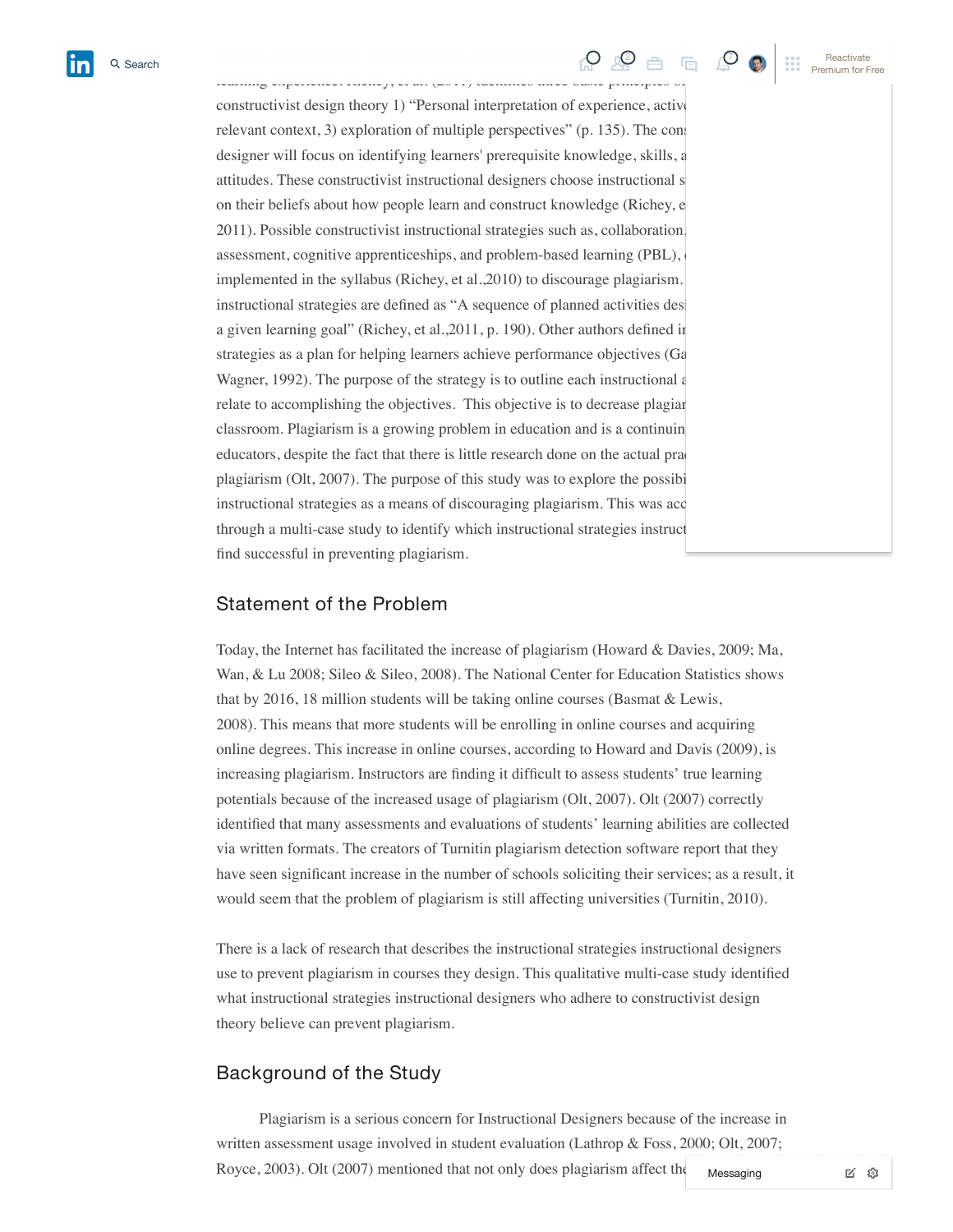constructivist design theory 1) "Personal interpretation of experience, active relevant context, 3) exploration of multiple perspectives" (p. 135). The cons designer will focus on identifying learners' prerequisite knowledge, skills, a attitudes. These constructivist instructional designers choose instructional s on their beliefs about how people learn and construct knowledge (Richey, e 2011). Possible constructivist instructional strategies such as, collaboration, assessment, cognitive apprenticeships, and problem-based learning (PBL), implemented in the syllabus (Richey, et al., 2010) to discourage plagiarism. instructional strategies are defined as "A sequence of planned activities desi a given learning goal" (Richey, et al.,  $2011$ , p. 190). Other authors defined in strategies as a plan for helping learners achieve performance objectives (Ga Wagner, 1992). The purpose of the strategy is to outline each instructional a relate to accomplishing the objectives. This objective is to decrease plagiar classroom. Plagiarism is a growing problem in education and is a continuin educators, despite the fact that there is little research done on the actual practice of plagiarism (Olt,  $2007$ ). The purpose of this study was to explore the possibility of using  $(1, 2007)$ . instructional strategies as a means of discouraging plagiarism. This was acc through a multi-case study to identify which instructional strategies instruct find successful in preventing plagiarism.

#### Statement of the Problem

Today, the Internet has facilitated the increase of plagiarism (Howard & Davies, 2009; Ma, Wan, & Lu 2008; Sileo & Sileo, 2008). The National Center for Education Statistics shows that by 2016, 18 million students will be taking online courses (Basmat & Lewis, 2008). This means that more students will be enrolling in online courses and acquiring online degrees. This increase in online courses, according to Howard and Davis (2009), is increasing plagiarism. Instructors are finding it difficult to assess students' true learning potentials because of the increased usage of plagiarism (Olt, 2007). Olt (2007) correctly identified that many assessments and evaluations of students' learning abilities are collected via written formats. The creators of Turnitin plagiarism detection software report that they have seen significant increase in the number of schools soliciting their services; as a result, it would seem that the problem of plagiarism is still affecting universities (Turnitin, 2010).

There is a lack of research that describes the instructional strategies instructional designers use to prevent plagiarism in courses they design. This qualitative multi-case study identified what instructional strategies instructional designers who adhere to constructivist design theory believe can prevent plagiarism.

#### Background of the Study

 Plagiarism is a serious concern for Instructional Designers because of the increase in written assessment usage involved in student evaluation (Lathrop & Foss, 2000; Olt, 2007; Royce, 2003). Olt (2007) mentioned that not only does plagiarism affect the Messaging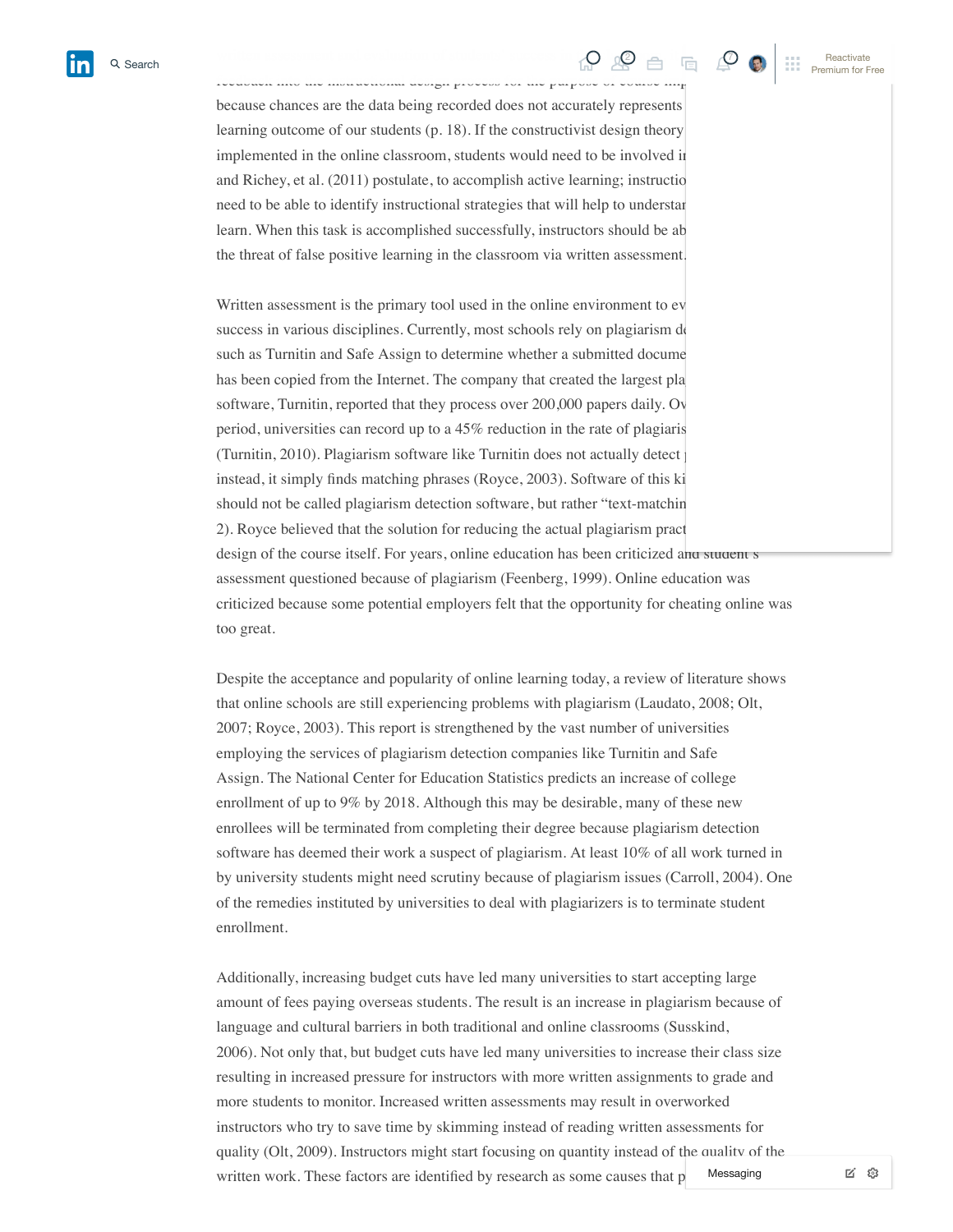# Search written assessment and evaluation of students' success i[n the c](https://www.linkedin.com/feed/)lass  $\wp$  is  $\wp$  in  $\wp$  invariant  $\wp$



because chances are the data being recorded does not accurately represents learning outcome of our students  $(p, 18)$ . If the constructivist design theory implemented in the online classroom, students would need to be involved in and Richey, et al. (2011) postulate, to accomplish active learning; instructional designers need to be able to identify instructional strategies that will help to understan learn. When this task is accomplished successfully, instructors should be ab the threat of false positive learning in the classroom via written assessment.

feedback into the instructional design process for the purpose of course improvement"

Written assessment is the primary tool used in the online environment to ev success in various disciplines. Currently, most schools rely on plagiarism detection software. such as Turnitin and Safe Assign to determine whether a submitted docume has been copied from the Internet. The company that created the largest plages software, Turnitin, reported that they process over 200,000 papers daily. Over period, universities can record up to a  $45\%$  reduction in the rate of plagiaris (Turnitin, 2010). Plagiarism software like Turnitin does not actually detect instead, it simply finds matching phrases (Royce, 2003). Software of this ki should not be called plagiarism detection software, but rather "text-matching" 2). Royce believed that the solution for reducing the actual plagiarism pract design of the course itself. For years, online education has been criticized and student's assessment questioned because of plagiarism (Feenberg, 1999). Online education was criticized because some potential employers felt that the opportunity for cheating online was too great.

Despite the acceptance and popularity of online learning today, a review of literature shows that online schools are still experiencing problems with plagiarism (Laudato, 2008; Olt, 2007; Royce, 2003). This report is strengthened by the vast number of universities employing the services of plagiarism detection companies like Turnitin and Safe Assign. The National Center for Education Statistics predicts an increase of college enrollment of up to 9% by 2018. Although this may be desirable, many of these new enrollees will be terminated from completing their degree because plagiarism detection software has deemed their work a suspect of plagiarism. At least 10% of all work turned in by university students might need scrutiny because of plagiarism issues (Carroll, 2004). One of the remedies instituted by universities to deal with plagiarizers is to terminate student enrollment.

Additionally, increasing budget cuts have led many universities to start accepting large amount of fees paying overseas students. The result is an increase in plagiarism because of language and cultural barriers in both traditional and online classrooms (Susskind, 2006). Not only that, but budget cuts have led many universities to increase their class size resulting in increased pressure for instructors with more written assignments to grade and more students to monitor. Increased written assessments may result in overworked instructors who try to save time by skimming instead of reading written assessments for quality (Olt, 2009). Instructors might start focusing on quantity instead of the quality of the written work. These factors are identified by research as some causes that  $p$  Messaging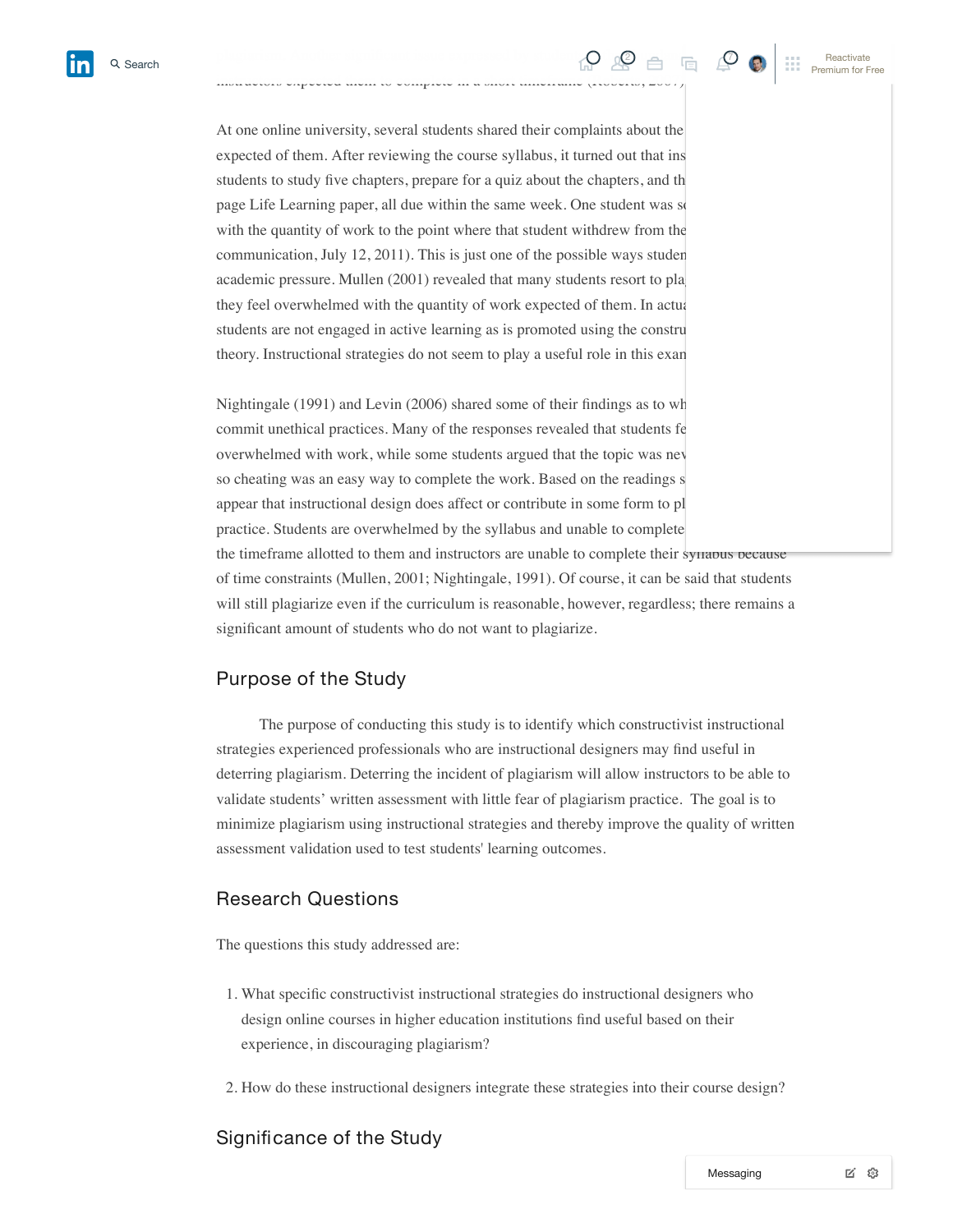At one online university, several students shared their complaints about the expected of them. After reviewing the course syllabus, it turned out that ins students to study five chapters, prepare for a quiz about the chapters, and the page Life Learning paper, all due within the same week. One student was so with the quantity of work to the point where that student withdrew from the communication, July 12, 2011). This is just one of the possible ways student academic pressure. Mullen (2001) revealed that many students resort to pla they feel overwhelmed with the quantity of work expected of them. In actual students are not engaged in active learning as is promoted using the constru theory. Instructional strategies do not seem to play a useful role in this exam

Nightingale  $(1991)$  and Levin  $(2006)$  shared some of their findings as to wh commit unethical practices. Many of the responses revealed that students fe overwhelmed with work, while some students argued that the topic was never so cheating was an easy way to complete the work. Based on the readings s appear that instructional design does affect or contribute in some form to pl practice. Students are overwhelmed by the syllabus and unable to complete the timeframe allotted to them and instructors are unable to complete their synabus because of time constraints (Mullen, 2001; Nightingale, 1991). Of course, it can be said that students will still plagiarize even if the curriculum is reasonable, however, regardless; there remains a significant amount of students who do not want to plagiarize.

#### Purpose of the Study

 The purpose of conducting this study is to identify which constructivist instructional strategies experienced professionals who are instructional designers may find useful in deterring plagiarism. Deterring the incident of plagiarism will allow instructors to be able to validate students' written assessment with little fear of plagiarism practice. The goal is to minimize plagiarism using instructional strategies and thereby improve the quality of written assessment validation used to test students' learning outcomes.

## Research Questions

The questions this study addressed are:

- 1. What specific constructivist instructional strategies do instructional designers who design online courses in higher education institutions find useful based on their experience, in discouraging plagiarism?
- 2. How do these instructional designers integrate these strategies into their course design?

#### Significance of the Study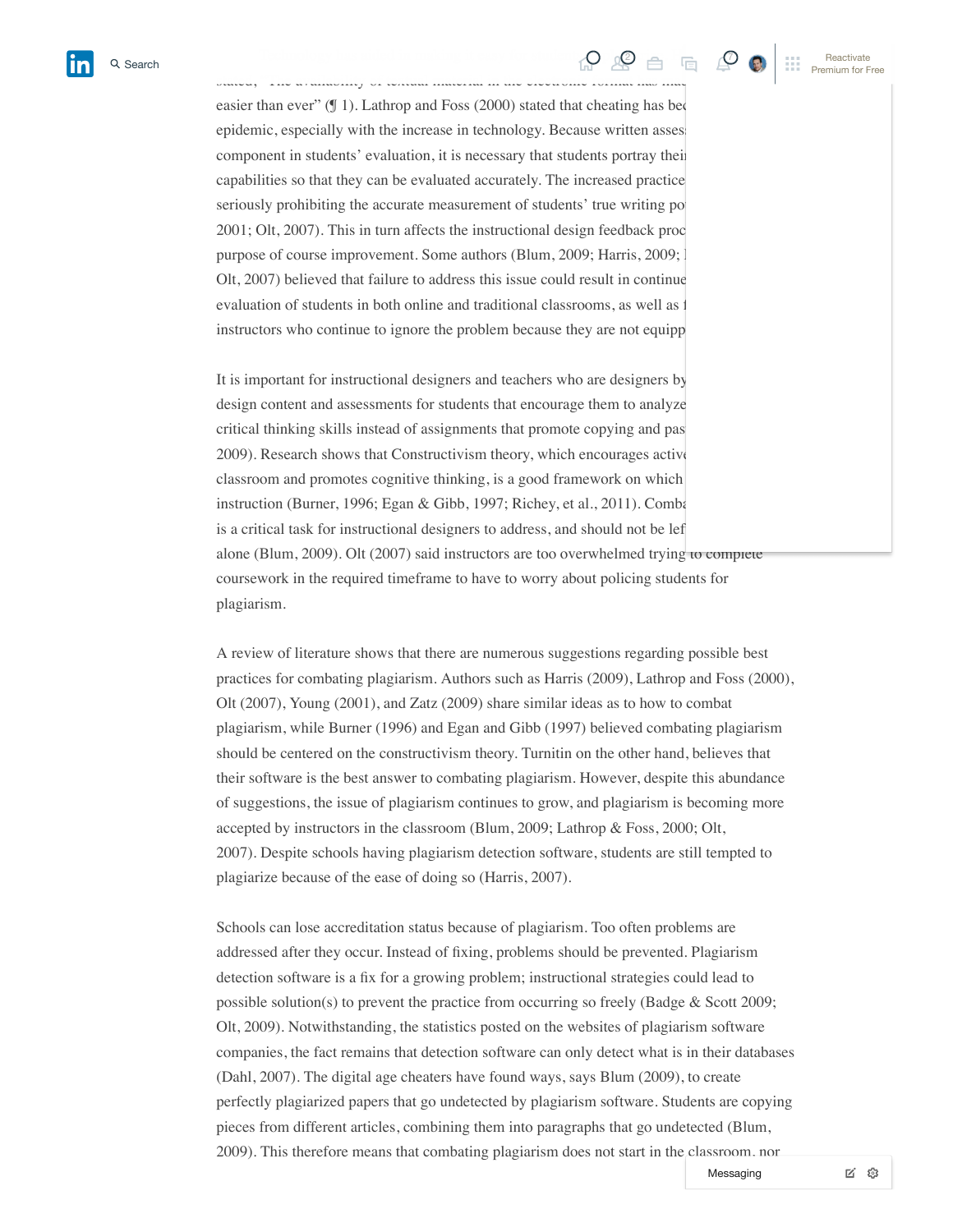easier than ever"  $(\text{\textsf{I}}\,1)$ . Lathrop and Foss (2000) stated that cheating has become epidemic, especially with the increase in technology. Because written asses component in students' evaluation, it is necessary that students portray their capabilities so that they can be evaluated accurately. The increased practice seriously prohibiting the accurate measurement of students' true writing potential (Mullen, Mullen, Mullen, Mu  $2001$ ; Olt,  $2007$ ). This in turn affects the instructional design feedback proc purpose of course improvement. Some authors (Blum, 2009; Harris, 2009; l Olt,  $2007$ ) believed that failure to address this issue could result in continue evaluation of students in both online and traditional classrooms, as well as f instructors who continue to ignore the problem because they are not equipped

It is important for instructional designers and teachers who are designers by design content and assessments for students that encourage them to analyze critical thinking skills instead of assignments that promote copying and pas 2009). Research shows that Constructivism theory, which encourages active classroom and promotes cognitive thinking, is a good framework on which instruction (Burner, 1996; Egan & Gibb, 1997; Richey, et al., 2011). Comba is a critical task for instructional designers to address, and should not be lef alone (Blum, 2009). Olt (2007) said instructors are too overwhelmed trying to complete coursework in the required timeframe to have to worry about policing students for plagiarism.

A review of literature shows that there are numerous suggestions regarding possible best practices for combating plagiarism. Authors such as Harris (2009), Lathrop and Foss (2000), Olt (2007), Young (2001), and Zatz (2009) share similar ideas as to how to combat plagiarism, while Burner (1996) and Egan and Gibb (1997) believed combating plagiarism should be centered on the constructivism theory. Turnitin on the other hand, believes that their software is the best answer to combating plagiarism. However, despite this abundance of suggestions, the issue of plagiarism continues to grow, and plagiarism is becoming more accepted by instructors in the classroom (Blum, 2009; Lathrop & Foss, 2000; Olt, 2007). Despite schools having plagiarism detection software, students are still tempted to plagiarize because of the ease of doing so (Harris, 2007).

Schools can lose accreditation status because of plagiarism. Too often problems are addressed after they occur. Instead of fixing, problems should be prevented. Plagiarism detection software is a fix for a growing problem; instructional strategies could lead to possible solution(s) to prevent the practice from occurring so freely (Badge & Scott 2009; Olt, 2009). Notwithstanding, the statistics posted on the websites of plagiarism software companies, the fact remains that detection software can only detect what is in their databases (Dahl, 2007). The digital age cheaters have found ways, says Blum (2009), to create perfectly plagiarized papers that go undetected by plagiarism software. Students are copying pieces from different articles, combining them into paragraphs that go undetected (Blum, 2009). This therefore means that combating plagiarism does not start in the classroom, nor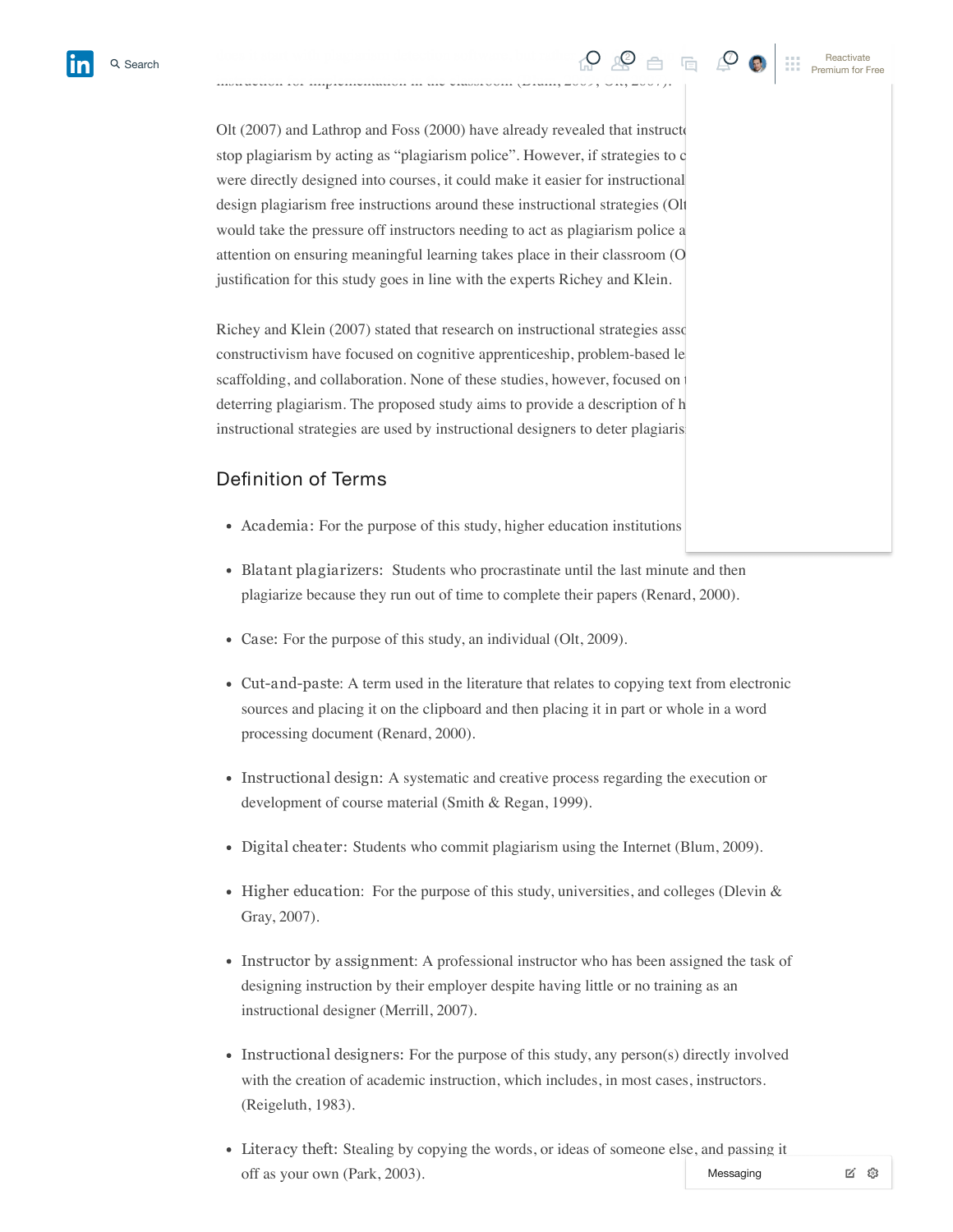

Olt  $(2007)$  and Lathrop and Foss  $(2000)$  have already revealed that instructors do not want to not want to no stop plagiarism by acting as "plagiarism police". However, if strategies to c were directly designed into courses, it could make it easier for instructional design plagiarism free instructions around these instructional strategies (Olt would take the pressure off instructors needing to act as plagiarism police a attention on ensuring meaningful learning takes place in their classroom (O justification for this study goes in line with the experts Richey and Klein.

Richey and Klein (2007) stated that research on instructional strategies associated with  $\alpha$ constructivism have focused on cognitive apprenticeship, problem-based learning. scaffolding, and collaboration. None of these studies, however, focused on deterring plagiarism. The proposed study aims to provide a description of h instructional strategies are used by instructional designers to deter plagiaris

# Definition of Terms

- Academia: For the purpose of this study, higher education institutions
- Blatant plagiarizers: Students who procrastinate until the last minute and then plagiarize because they run out of time to complete their papers (Renard, 2000).
- Case: For the purpose of this study, an individual (Olt, 2009).
- Cut-and-paste: A term used in the literature that relates to copying text from electronic sources and placing it on the clipboard and then placing it in part or whole in a word processing document (Renard, 2000).
- Instructional design: A systematic and creative process regarding the execution or development of course material (Smith & Regan, 1999).
- Digital cheater: Students who commit plagiarism using the Internet (Blum, 2009).
- Higher education: For the purpose of this study, universities, and colleges (Dlevin  $\&$ Gray, 2007).
- Instructor by assignment: A professional instructor who has been assigned the task of designing instruction by their employer despite having little or no training as an instructional designer (Merrill, 2007).
- Instructional designers: For the purpose of this study, any person(s) directly involved with the creation of academic instruction, which includes, in most cases, instructors. (Reigeluth, 1983).
- Literacy theft: Stealing by copying the words, or ideas of someone else, and passing it off as your own (Park, 2003). Messaging

区 @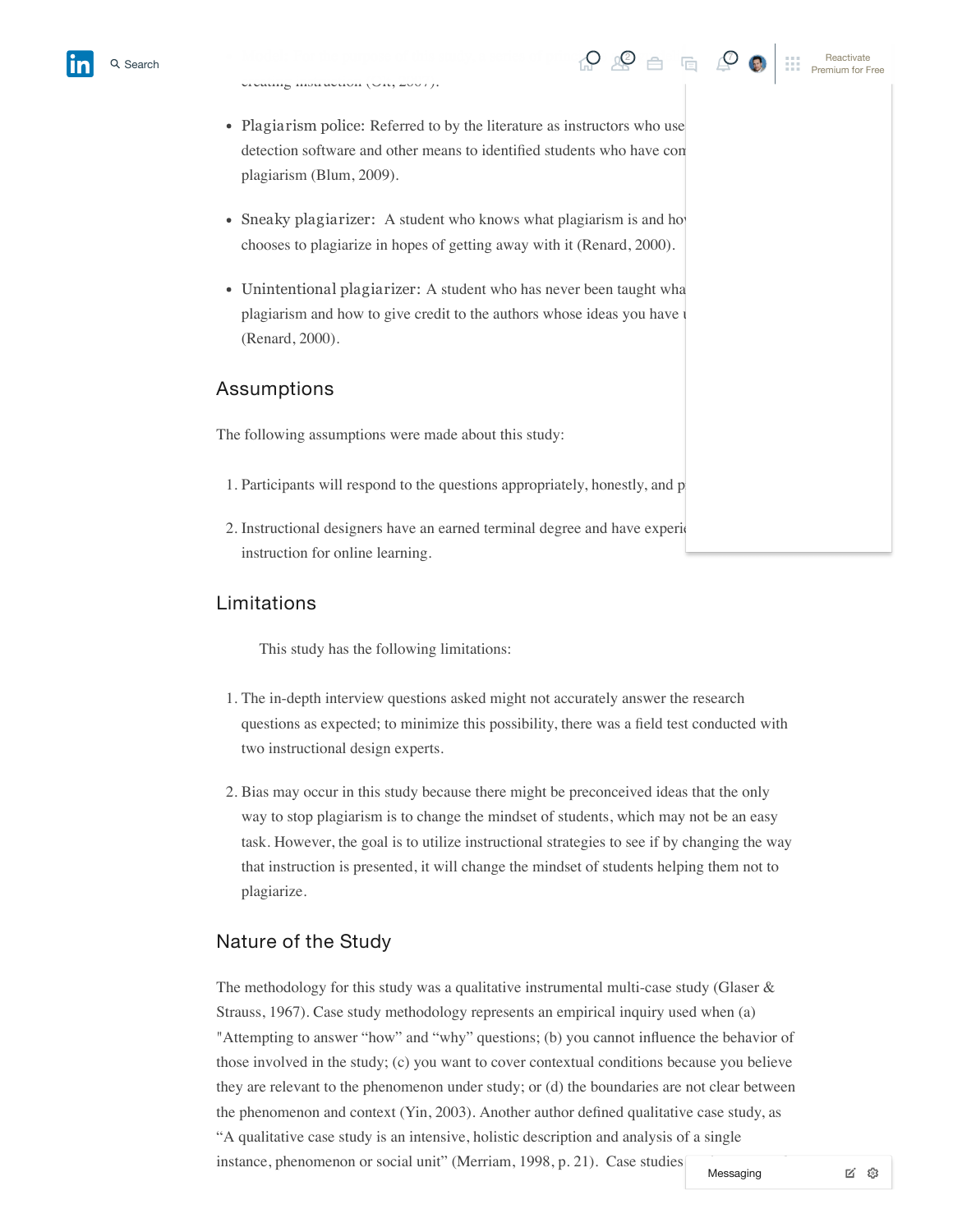[Reactivate](https://www.linkedin.com/premium/products/?destRedirectURL=https%3A%2F%2Fwww.linkedin.com%2Fpulse%2Fplagiarism-21st-century-dr-kaymarie-tyrell-ferguson%2F%3Fpublished%3Dt%26showPremiumWelcomeBanner%3Dtrue&upsellOrderOrigin=premium_nav_upsell_text) Premium for Free

- Plagiarism police: Referred to by the literature as instructors who use detection software and other means to identified students who have con plagiarism (Blum, 2009).
- Sneaky plagiarizer: A student who knows what plagiarism is and how chooses to plagiarize in hopes of getting away with it (Renard, 2000).
- Unintentional plagiarizer: A student who has never been taught what plagiarism and how to give credit to the authors whose ideas you have used in (Renard, 2000).

#### Assumptions

The following assumptions were made about this study:

- 1. Participants will respond to the questions appropriately, honestly, and p
- 2. Instructional designers have an earned terminal degree and have experience instruction for online learning.

## Limitations

This study has the following limitations:

- 1. The in-depth interview questions asked might not accurately answer the research questions as expected; to minimize this possibility, there was a field test conducted with two instructional design experts.
- 2. Bias may occur in this study because there might be preconceived ideas that the only way to stop plagiarism is to change the mindset of students, which may not be an easy task. However, the goal is to utilize instructional strategies to see if by changing the way that instruction is presented, it will change the mindset of students helping them not to plagiarize.

# Nature of the Study

The methodology for this study was a qualitative instrumental multi-case study (Glaser  $\&$ Strauss, 1967). Case study methodology represents an empirical inquiry used when (a) "Attempting to answer "how" and "why" questions; (b) you cannot influence the behavior of those involved in the study; (c) you want to cover contextual conditions because you believe they are relevant to the phenomenon under study; or (d) the boundaries are not clear between the phenomenon and context (Yin, 2003). Another author defined qualitative case study, as "A qualitative case study is an intensive, holistic description and analysis of a single instance, phenomenon or social unit" (Merriam, 1998, p. 21). Case studies Messaging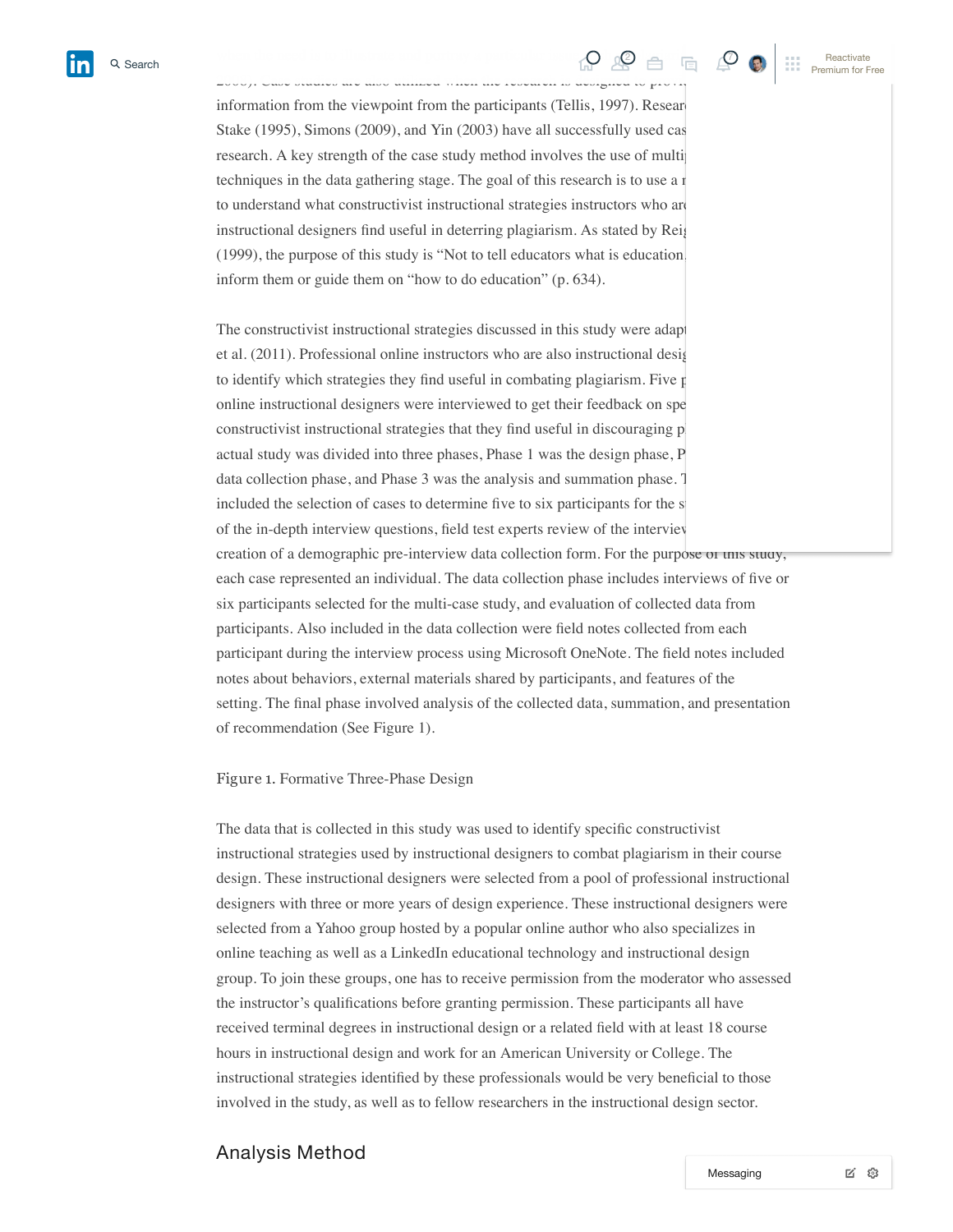## Search when the need is to illustrate and portray a particular issue  $\mathcal{O}$  of  $\oplus$   $\oplus$   $\mathcal{O}$   $\oplus$ 2008). Case studies are also utilized when the research is designed to provide detailed



information from the viewpoint from the participants (Tellis, 1997). Researchers such as  $\mu$ Stake  $(1995)$ , Simons  $(2009)$ , and Yin  $(2003)$  have all successfully used case research. A key strength of the case study method involves the use of multiple sources and sources and sources and  $\alpha$ techniques in the data gathering stage. The goal of this research is to use a  $r$ to understand what constructivist instructional strategies instructors who are instructional designers find useful in deterring plagiarism. As stated by Reig  $(1999)$ , the purpose of this study is "Not to tell educators what is education inform them or guide them on "how to do education" (p. 634).

The constructivist instructional strategies discussed in this study were adapted from Richeys and Richeys and Richeys and Richeys and Richeys and Richeys and Richeys and Richeys and Richeys and Richeys and Richeys and Rich et al.  $(2011)$ . Professional online instructors who are also instructional designers as to identify which strategies they find useful in combating plagiarism. Five  $\mu$ online instructional designers were interviewed to get their feedback on spe constructivist instructional strategies that they find useful in discouraging p actual study was divided into three phases, Phase 1 was the design phase,  $P$ data collection phase, and Phase 3 was the analysis and summation phase. The data included the selection of cases to determine five to six participants for the study, formation of the in-depth interview questions, field test experts review of the interview creation of a demographic pre-interview data collection form. For the purpose or this study, each case represented an individual. The data collection phase includes interviews of five or six participants selected for the multi-case study, and evaluation of collected data from participants. Also included in the data collection were field notes collected from each participant during the interview process using Microsoft OneNote. The field notes included notes about behaviors, external materials shared by participants, and features of the setting. The final phase involved analysis of the collected data, summation, and presentation of recommendation (See Figure 1).

#### Figure 1. Formative Three-Phase Design

The data that is collected in this study was used to identify specific constructivist instructional strategies used by instructional designers to combat plagiarism in their course design. These instructional designers were selected from a pool of professional instructional designers with three or more years of design experience. These instructional designers were selected from a Yahoo group hosted by a popular online author who also specializes in online teaching as well as a LinkedIn educational technology and instructional design group. To join these groups, one has to receive permission from the moderator who assessed the instructor's qualifications before granting permission. These participants all have received terminal degrees in instructional design or a related field with at least 18 course hours in instructional design and work for an American University or College. The instructional strategies identified by these professionals would be very beneficial to those involved in the study, as well as to fellow researchers in the instructional design sector.

# Analysis Method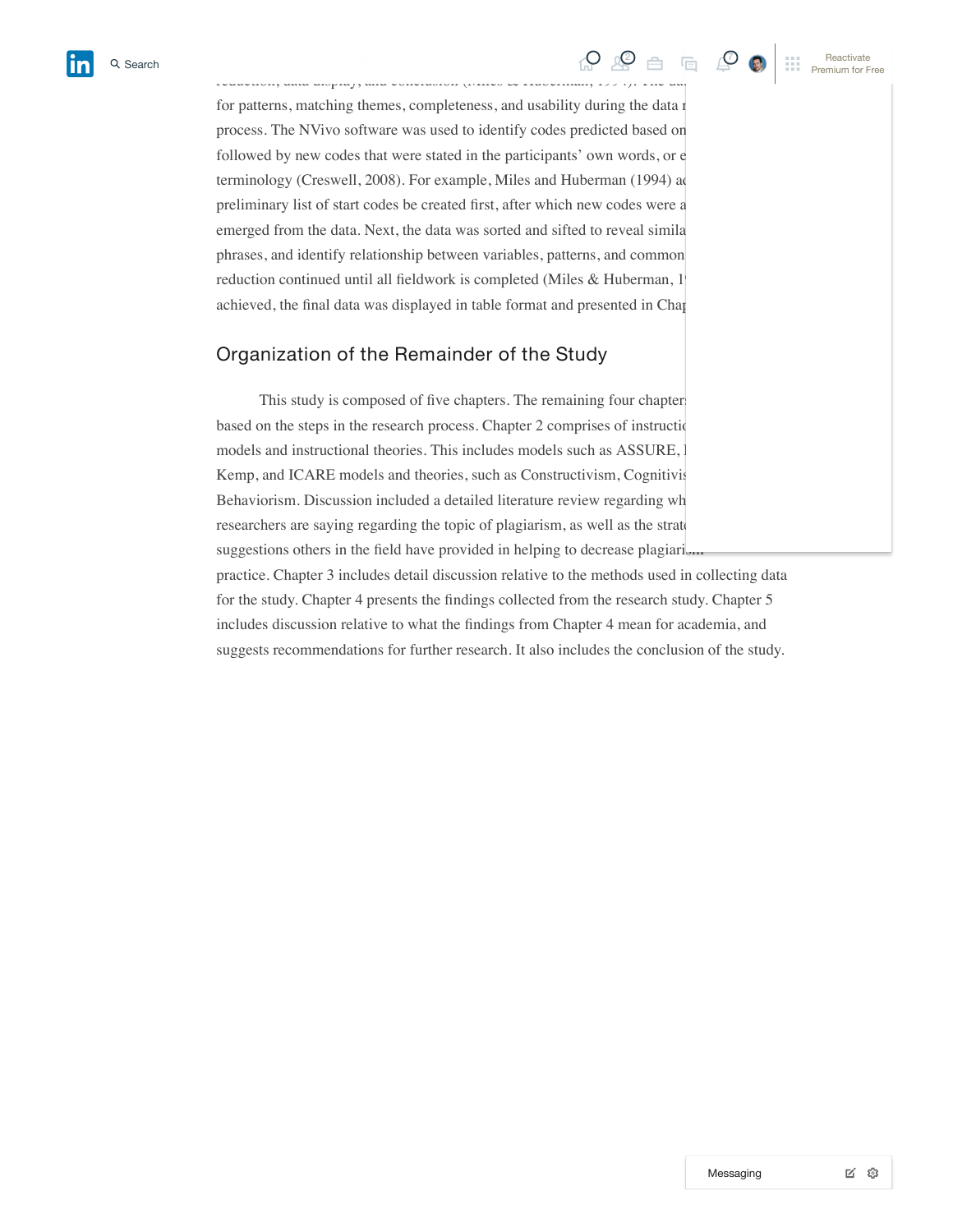

for patterns, matching themes, completeness, and usability during the data  $r$ process. The NVivo software was used to identify codes predicted based on followed by new codes that were stated in the participants' own words, or e terminology (Creswell, 2008). For example, Miles and Huberman (1994) ad preliminary list of start codes be created first, after which new codes were a emerged from the data. Next, the data was sorted and sifted to reveal similar phrases, and identify relationship between variables, patterns, and common reduction continued until all fieldwork is completed (Miles & Huberman, 1) achieved, the final data was displayed in table format and presented in Chapter

## Organization of the Remainder of the Study

This study is composed of five chapters. The remaining four chapters based on the steps in the research process. Chapter 2 comprises of instructional models and instructional theories. This includes models such as ASSURE, I Kemp, and ICARE models and theories, such as Constructivism, Cognitivisty Behaviorism. Discussion included a detailed literature review regarding wh researchers are saying regarding the topic of plagiarism, as well as the strate suggestions others in the field have provided in helping to decrease plagiari

practice. Chapter 3 includes detail discussion relative to the methods used in collecting data for the study. Chapter 4 presents the findings collected from the research study. Chapter 5 includes discussion relative to what the findings from Chapter 4 mean for academia, and suggests recommendations for further research. It also includes the conclusion of the study.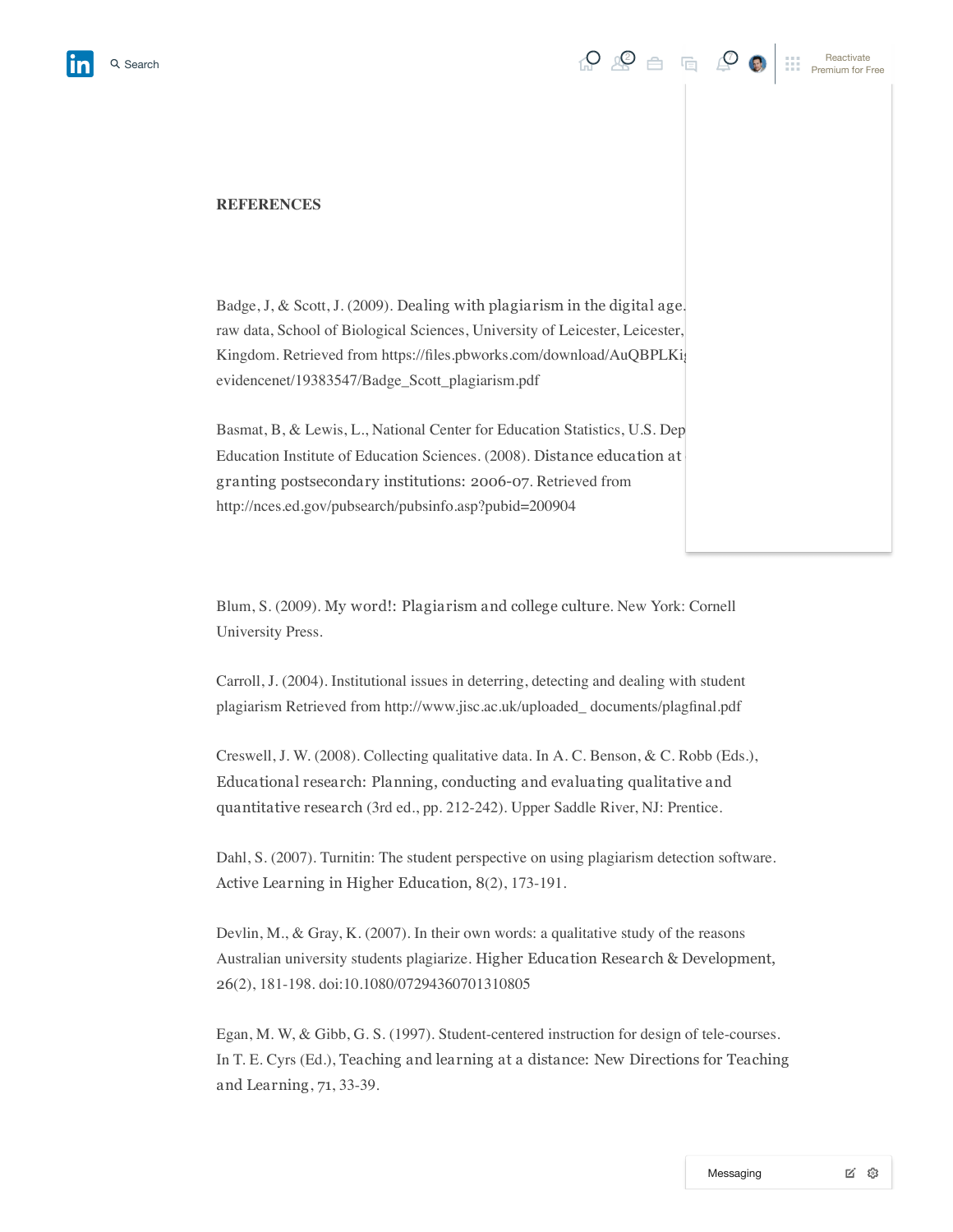#### **REFERENCES**

Badge, J, & Scott, J. (2009). Dealing with plagiarism in the digital age. raw data, School of Biological Sciences, University of Leicester, Leicester, Kingdom. Retrieved from https://files.pbworks.com/download/AuQBPLKig evidencenet/19383547/Badge\_Scott\_plagiarism.pdf

Basmat, B, & Lewis, L., National Center for Education Statistics, U.S. Dep Education Institute of Education Sciences. (2008). Distance education at granting postsecondary institutions: 2006-07. Retrieved from http://nces.ed.gov/pubsearch/pubsinfo.asp?pubid=200904

Blum, S. (2009). My word!: Plagiarism and college culture. New York: Cornell University Press.

Carroll, J. (2004). Institutional issues in deterring, detecting and dealing with student plagiarism Retrieved from http://www.jisc.ac.uk/uploaded\_ documents/plagfinal.pdf

Creswell, J. W. (2008). Collecting qualitative data. In A. C. Benson, & C. Robb (Eds.), Educational research: Planning, conducting and evaluating qualitative and quantitative research (3rd ed., pp. 212-242). Upper Saddle River, NJ: Prentice.

Dahl, S. (2007). Turnitin: The student perspective on using plagiarism detection software. Active Learning in Higher Education, 8(2), 173-191.

Devlin, M., & Gray, K. (2007). In their own words: a qualitative study of the reasons Australian university students plagiarize. Higher Education Research & Development, 26(2), 181-198. doi:10.1080/07294360701310805

Egan, M. W, & Gibb, G. S. (1997). Student-centered instruction for design of tele-courses. In T. E. Cyrs (Ed.), Teaching and learning at a distance: New Directions for Teaching and Learning, 71, 33-39.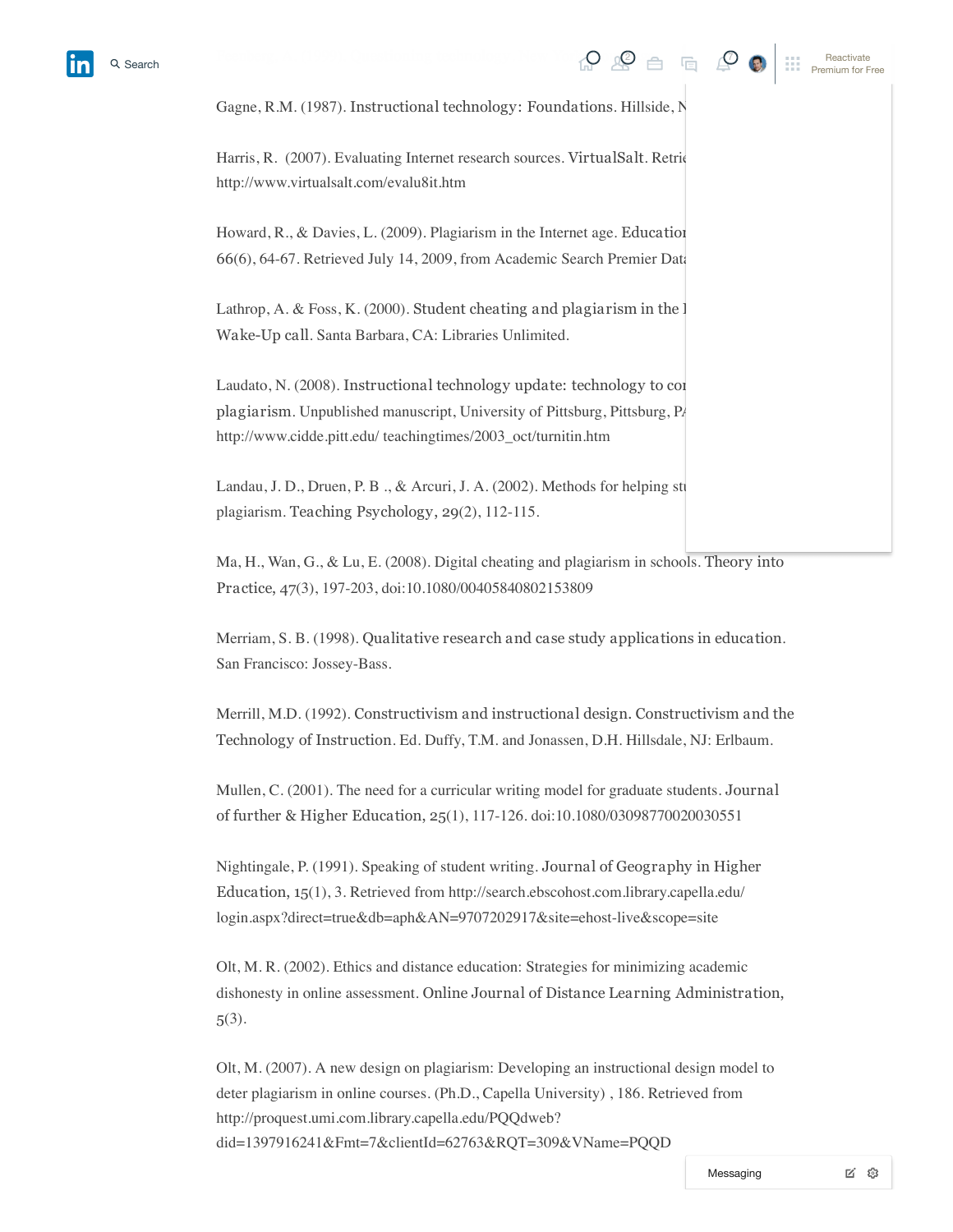# Search the strong A. (1999). Questioning technology. New York:  $\bigcirc$   $\mathcal{Q}$   $\mathcal{Q}$   $\oplus$   $\top$   $\top$

[Reactivate](https://www.linkedin.com/premium/products/?destRedirectURL=https%3A%2F%2Fwww.linkedin.com%2Fpulse%2Fplagiarism-21st-century-dr-kaymarie-tyrell-ferguson%2F%3Fpublished%3Dt%26showPremiumWelcomeBanner%3Dtrue&upsellOrderOrigin=premium_nav_upsell_text) Premium for Free

Gagne, R.M. (1987). Instructional technology: Foundations. Hillside, N

Harris, R. (2007). Evaluating Internet research sources. VirtualSalt. Retrie http://www.virtualsalt.com/evalu8it.htm

Howard, R., & Davies, L.  $(2009)$ . Plagiarism in the Internet age. Education 66(6), 64-67. Retrieved July 14, 2009, from Academic Search Premier Data

Lathrop, A. & Foss, K. (2000). Student cheating and plagiarism in the  $l$ Wake-Up call. Santa Barbara, CA: Libraries Unlimited.

Laudato, N. (2008). Instructional technology update: technology to com plagiarism. Unpublished manuscript, University of Pittsburg, Pittsburg, PA. http://www.cidde.pitt.edu/ teachingtimes/2003\_oct/turnitin.htm

Landau, J. D., Druen, P. B., & Arcuri, J. A.  $(2002)$ . Methods for helping students and  $\alpha$ plagiarism. Teaching Psychology, 29(2), 112-115.

Ma, H., Wan, G., & Lu, E. (2008). Digital cheating and plagiarism in schools. Theory into Practice, 47(3), 197-203, doi:10.1080/00405840802153809

Merriam, S. B. (1998). Qualitative research and case study applications in education. San Francisco: Jossey-Bass.

Merrill, M.D. (1992). Constructivism and instructional design. Constructivism and the Technology of Instruction. Ed. Duffy, T.M. and Jonassen, D.H. Hillsdale, NJ: Erlbaum.

Mullen, C. (2001). The need for a curricular writing model for graduate students. Journal of further & Higher Education, 25(1), 117-126. doi:10.1080/03098770020030551

Nightingale, P. (1991). Speaking of student writing. Journal of Geography in Higher Education, 15(1), 3. Retrieved from http://search.ebscohost.com.library.capella.edu/ login.aspx?direct=true&db=aph&AN=9707202917&site=ehost-live&scope=site

Olt, M. R. (2002). Ethics and distance education: Strategies for minimizing academic dishonesty in online assessment. Online Journal of Distance Learning Administration, 5(3).

Olt, M. (2007). A new design on plagiarism: Developing an instructional design model to deter plagiarism in online courses. (Ph.D., Capella University) , 186. Retrieved from http://proquest.umi.com.library.capella.edu/PQQdweb? did=1397916241&Fmt=7&clientId=62763&RQT=309&VName=PQQD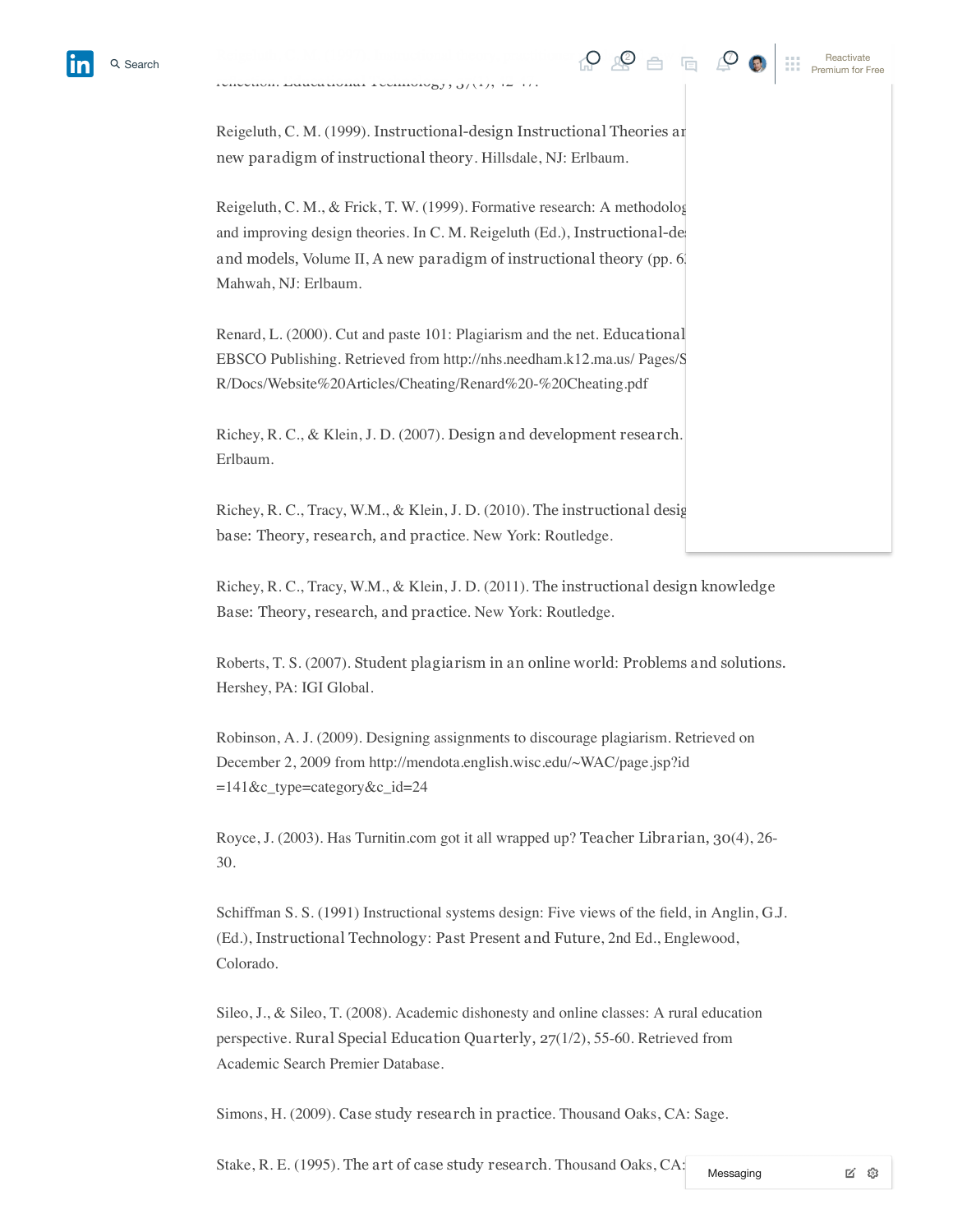Reigeluth, C. M. (1999). Instructional-design Instructional Theories and new paradigm of instructional theory. Hillsdale, NJ: Erlbaum.

 $r$ erivection. Educational Technology,  $37(1)$ ,  $42/47$ .

Reigeluth, C. M., & Frick, T. W. (1999). Formative research: A methodolog and improving design theories. In C. M. Reigeluth (Ed.), Instructional-de and models, Volume II, A new paradigm of instructional theory (pp. 6). Mahwah, NJ: Erlbaum.

Renard, L. (2000). Cut and paste 101: Plagiarism and the net. Educational EBSCO Publishing. Retrieved from http://nhs.needham.k12.ma.us/ Pages/S R/Docs/Website%20Articles/Cheating/Renard%20-%20Cheating.pdf

Richey, R. C., & Klein, J. D. (2007). Design and development research. Erlbaum.

Richey, R. C., Tracy, W.M., & Klein, J. D. (2010). The instructional designation base: Theory, research, and practice. New York: Routledge.

Richey, R. C., Tracy, W.M., & Klein, J. D. (2011). The instructional design knowledge Base: Theory, research, and practice. New York: Routledge.

Roberts, T. S. (2007). Student plagiarism in an online world: Problems and solutions. Hershey, PA: IGI Global.

Robinson, A. J. (2009). Designing assignments to discourage plagiarism. Retrieved on December 2, 2009 from http://mendota.english.wisc.edu/~WAC/page.jsp?id =141&c\_type=category&c\_id=24

Royce, J. (2003). Has Turnitin.com got it all wrapped up? Teacher Librarian, 30(4), 26- 30.

Schiffman S. S. (1991) Instructional systems design: Five views of the field, in Anglin, G.J. (Ed.), Instructional Technology: Past Present and Future, 2nd Ed., Englewood, Colorado.

Sileo, J., & Sileo, T. (2008). Academic dishonesty and online classes: A rural education perspective. Rural Special Education Quarterly, 27(1/2), 55-60. Retrieved from Academic Search Premier Database.

Simons, H. (2009). Case study research in practice. Thousand Oaks, CA: Sage.

Stake, R. E. (1995). The art of case study research. Thousand Oaks, CA: Messaging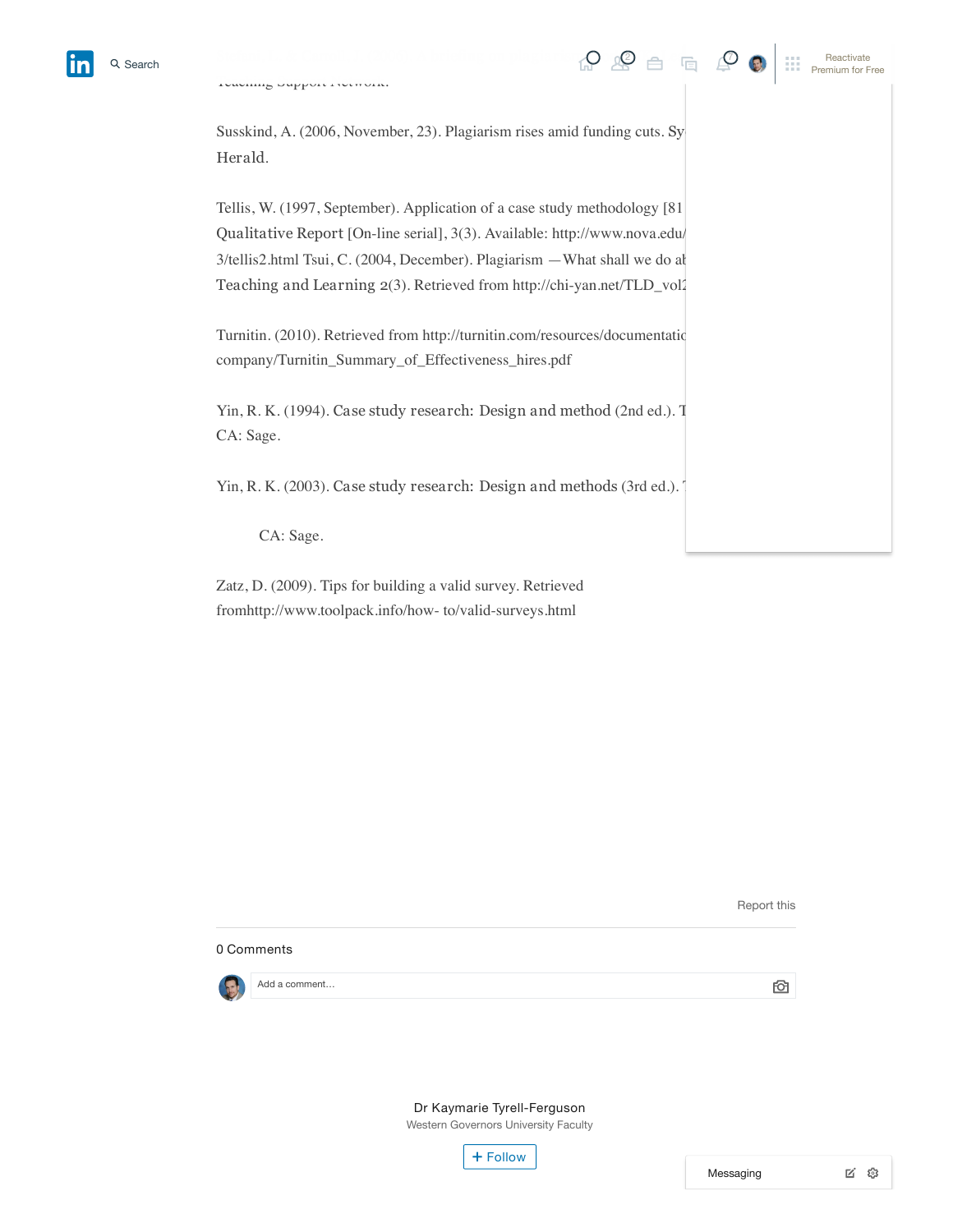Susskind, A. (2006, November, 23). Plagiarism rises amid funding cuts. Sy Herald.

Tellis, W. (1997, September). Application of a case study methodology [81] Qualitative Report [On-line serial], 3(3). Available: http://www.nova.edu/  $3$ /tellis2.html Tsui, C. (2004, December). Plagiarism — What shall we do about it? Issues in Tsui, C. Teaching and Learning 2(3). Retrieved from http://chi-yan.net/TLD\_vol2

Turnitin. (2010). Retrieved from http://turnitin.com/resources/documentatio company/Turnitin\_Summary\_of\_Effectiveness\_hires.pdf

Yin, R. K. (1994). Case study research: Design and method (2nd ed.). Though CA: Sage.

Yin, R. K. (2003). Case study research: Design and methods (3rd ed.).'

CA: Sage.

Zatz, D. (2009). Tips for building a valid survey. Retrieved fromhttp://www.toolpack.info/how- to/valid-surveys.html





Dr Kaymarie [Tyrell-Ferguson](https://www.linkedin.com/in/drferguson1/) Western Governors University Faculty

+ Follow